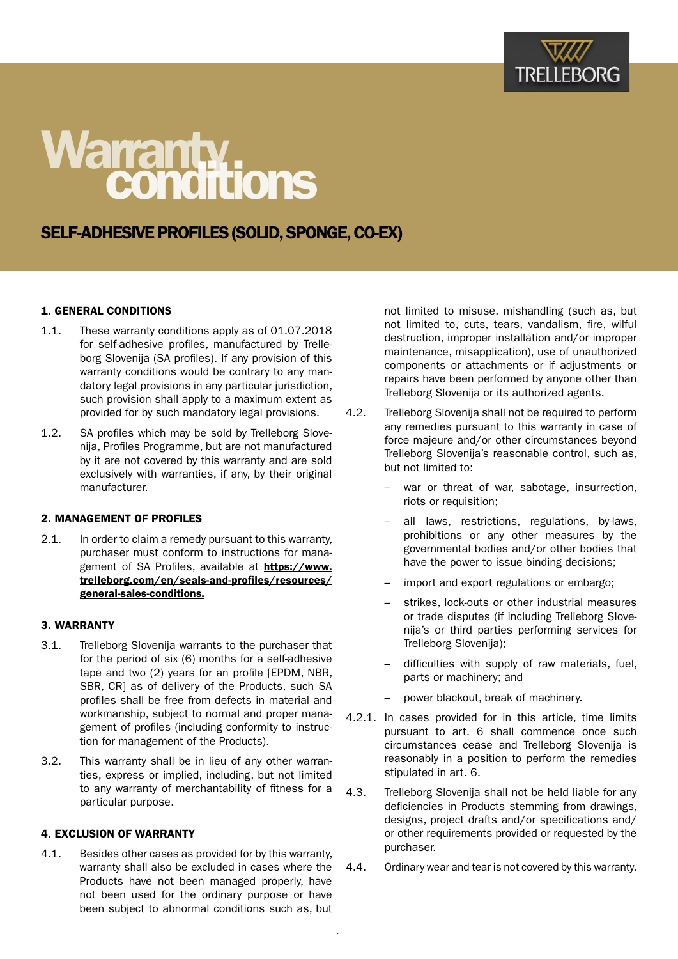

# Warranty.<br>Conditions

# SELF-ADHESIVE PROFILES (SOLID, SPONGE, CO-EX)

# 1. GENERAL CONDITIONS

- 1.1. These warranty conditions apply as of 01.07.2018 for self-adhesive profiles, manufactured by Trelleborg Slovenija (SA profiles). If any provision of this warranty conditions would be contrary to any mandatory legal provisions in any particular jurisdiction, such provision shall apply to a maximum extent as provided for by such mandatory legal provisions.
- 1.2. SA profiles which may be sold by Trelleborg Slovenija, Profiles Programme, but are not manufactured by it are not covered by this warranty and are sold exclusively with warranties, if any, by their original manufacturer.

#### 2. MANAGEMENT OF PROFILES

2.1. In order to claim a remedy pursuant to this warranty, purchaser must conform to instructions for management of SA Profiles, available at [https://www.](https://www.trelleborg.com/en/seals-and-profiles/resources/general-sales-conditions) [trelleborg.com/en/seals-and-profiles/resources/](https://www.trelleborg.com/en/seals-and-profiles/resources/general-sales-conditions) [general-sales-conditions](https://www.trelleborg.com/en/seals-and-profiles/resources/general-sales-conditions).

#### 3. WARRANTY

- 3.1. Trelleborg Slovenija warrants to the purchaser that for the period of six (6) months for a self-adhesive tape and two (2) years for an profile [EPDM, NBR, SBR, CR] as of delivery of the Products, such SA profiles shall be free from defects in material and workmanship, subject to normal and proper management of profiles (including conformity to instruction for management of the Products).
- 3.2. This warranty shall be in lieu of any other warranties, express or implied, including, but not limited to any warranty of merchantability of fitness for a particular purpose.

#### 4. EXCLUSION OF WARRANTY

4.1. Besides other cases as provided for by this warranty, warranty shall also be excluded in cases where the Products have not been managed properly, have not been used for the ordinary purpose or have been subject to abnormal conditions such as, but

not limited to misuse, mishandling (such as, but not limited to, cuts, tears, vandalism, fire, wilful destruction, improper installation and/or improper maintenance, misapplication), use of unauthorized components or attachments or if adjustments or repairs have been performed by anyone other than Trelleborg Slovenija or its authorized agents.

- 4.2. Trelleborg Slovenija shall not be required to perform any remedies pursuant to this warranty in case of force majeure and/or other circumstances beyond Trelleborg Slovenija's reasonable control, such as, but not limited to:
	- war or threat of war, sabotage, insurrection, riots or requisition;
	- all laws, restrictions, regulations, by-laws, prohibitions or any other measures by the governmental bodies and/or other bodies that have the power to issue binding decisions;
	- import and export regulations or embargo;
	- strikes, lock-outs or other industrial measures or trade disputes (if including Trelleborg Slovenija's or third parties performing services for Trelleborg Slovenija);
	- difficulties with supply of raw materials, fuel, parts or machinery; and
	- power blackout, break of machinery.
- 4.2.1. In cases provided for in this article, time limits pursuant to art. 6 shall commence once such circumstances cease and Trelleborg Slovenija is reasonably in a position to perform the remedies stipulated in art. 6.
- 4.3. Trelleborg Slovenija shall not be held liable for any deficiencies in Products stemming from drawings, designs, project drafts and/or specifications and/ or other requirements provided or requested by the purchaser.
- 4.4. Ordinary wear and tear is not covered by this warranty.